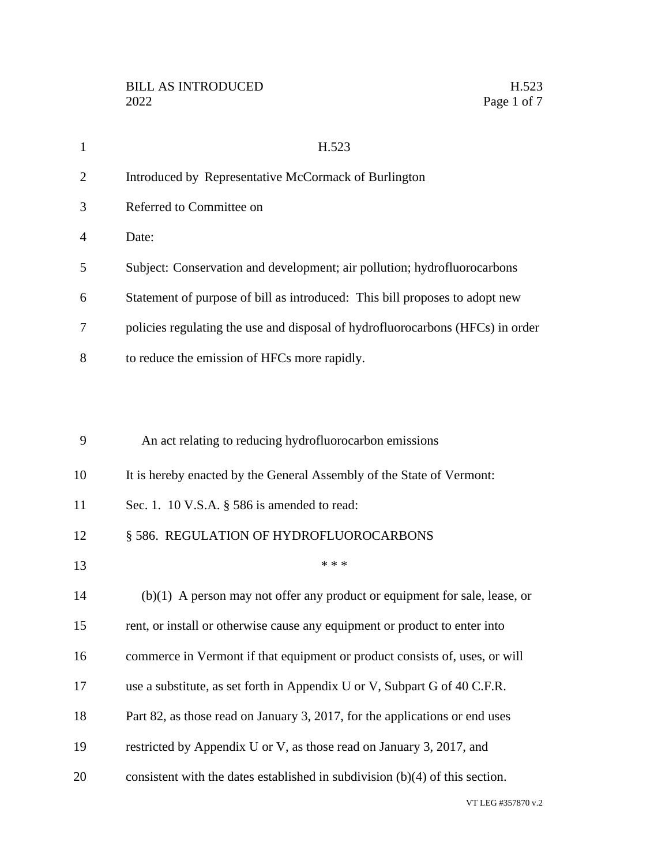| $\mathbf{1}$   | H.523                                                                          |
|----------------|--------------------------------------------------------------------------------|
| $\overline{2}$ | Introduced by Representative McCormack of Burlington                           |
| 3              | Referred to Committee on                                                       |
| 4              | Date:                                                                          |
| 5              | Subject: Conservation and development; air pollution; hydrofluorocarbons       |
| 6              | Statement of purpose of bill as introduced: This bill proposes to adopt new    |
| 7              | policies regulating the use and disposal of hydrofluorocarbons (HFCs) in order |
| 8              | to reduce the emission of HFCs more rapidly.                                   |
|                |                                                                                |
|                |                                                                                |
| 9              | An act relating to reducing hydrofluorocarbon emissions                        |
| 10             | It is hereby enacted by the General Assembly of the State of Vermont:          |
| 11             | Sec. 1. 10 V.S.A. § 586 is amended to read:                                    |
| 12             | § 586. REGULATION OF HYDROFLUOROCARBONS                                        |
| 13             | * * *                                                                          |
| 14             | $(b)(1)$ A person may not offer any product or equipment for sale, lease, or   |
| 15             | rent, or install or otherwise cause any equipment or product to enter into     |
| 16             | commerce in Vermont if that equipment or product consists of, uses, or will    |
| 17             | use a substitute, as set forth in Appendix U or V, Subpart G of 40 C.F.R.      |
| 18             | Part 82, as those read on January 3, 2017, for the applications or end uses    |
| 19             | restricted by Appendix U or V, as those read on January 3, 2017, and           |
| 20             | consistent with the dates established in subdivision $(b)(4)$ of this section. |

VT LEG #357870 v.2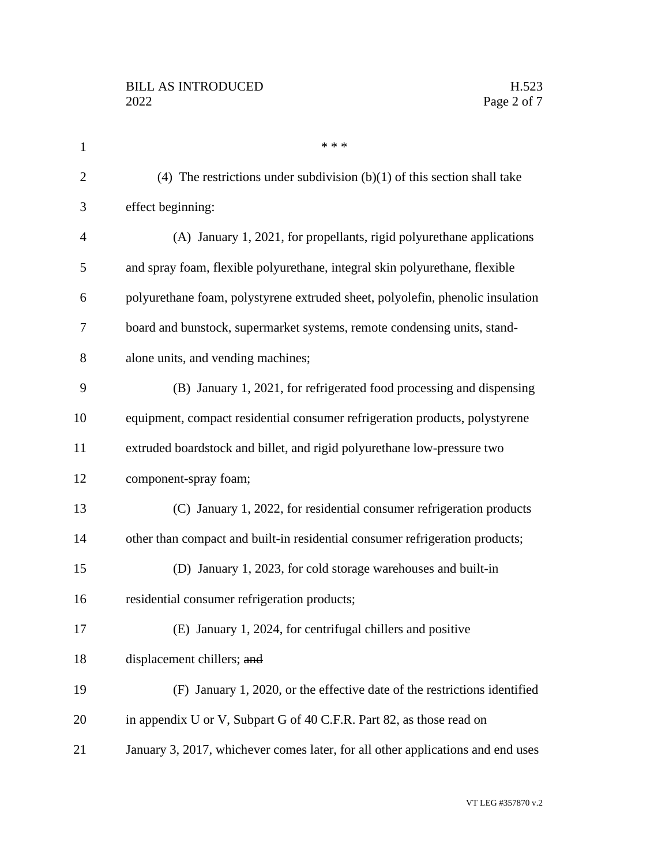| $\mathbf{1}$   | * * *                                                                           |
|----------------|---------------------------------------------------------------------------------|
| $\mathbf{2}$   | (4) The restrictions under subdivision $(b)(1)$ of this section shall take      |
| 3              | effect beginning:                                                               |
| $\overline{4}$ | (A) January 1, 2021, for propellants, rigid polyurethane applications           |
| 5              | and spray foam, flexible polyurethane, integral skin polyurethane, flexible     |
| 6              | polyurethane foam, polystyrene extruded sheet, polyolefin, phenolic insulation  |
| 7              | board and bunstock, supermarket systems, remote condensing units, stand-        |
| 8              | alone units, and vending machines;                                              |
| 9              | (B) January 1, 2021, for refrigerated food processing and dispensing            |
| 10             | equipment, compact residential consumer refrigeration products, polystyrene     |
| 11             | extruded boardstock and billet, and rigid polyurethane low-pressure two         |
| 12             | component-spray foam;                                                           |
| 13             | (C) January 1, 2022, for residential consumer refrigeration products            |
| 14             | other than compact and built-in residential consumer refrigeration products;    |
| 15             | (D) January 1, 2023, for cold storage warehouses and built-in                   |
| 16             | residential consumer refrigeration products;                                    |
| 17             | (E) January 1, 2024, for centrifugal chillers and positive                      |
| 18             | displacement chillers; and                                                      |
| 19             | (F) January 1, 2020, or the effective date of the restrictions identified       |
| 20             | in appendix U or V, Subpart G of 40 C.F.R. Part 82, as those read on            |
| 21             | January 3, 2017, whichever comes later, for all other applications and end uses |
|                |                                                                                 |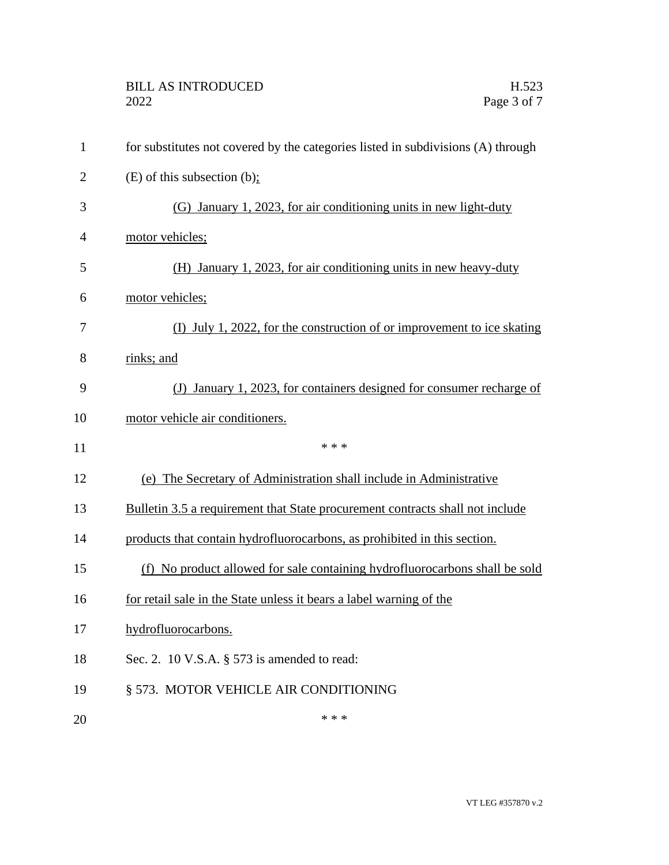| $\mathbf{1}$   | for substitutes not covered by the categories listed in subdivisions (A) through |
|----------------|----------------------------------------------------------------------------------|
| $\overline{2}$ | $(E)$ of this subsection $(b)$ ;                                                 |
| 3              | (G) January 1, 2023, for air conditioning units in new light-duty                |
| $\overline{4}$ | motor vehicles;                                                                  |
| 5              | (H) January 1, 2023, for air conditioning units in new heavy-duty                |
| 6              | motor vehicles;                                                                  |
| 7              | (I) July 1, 2022, for the construction of or improvement to ice skating          |
| 8              | rinks; and                                                                       |
| 9              | January 1, 2023, for containers designed for consumer recharge of<br>(J)         |
| 10             | motor vehicle air conditioners.                                                  |
|                |                                                                                  |
| 11             | * * *                                                                            |
| 12             | (e) The Secretary of Administration shall include in Administrative              |
| 13             | Bulletin 3.5 a requirement that State procurement contracts shall not include    |
| 14             | products that contain hydrofluorocarbons, as prohibited in this section.         |
| 15             | (f) No product allowed for sale containing hydrofluorocarbons shall be sold      |
| 16             | for retail sale in the State unless it bears a label warning of the              |
| 17             | hydrofluorocarbons.                                                              |
| 18             | Sec. 2. 10 V.S.A. § 573 is amended to read:                                      |
| 19             | § 573. MOTOR VEHICLE AIR CONDITIONING                                            |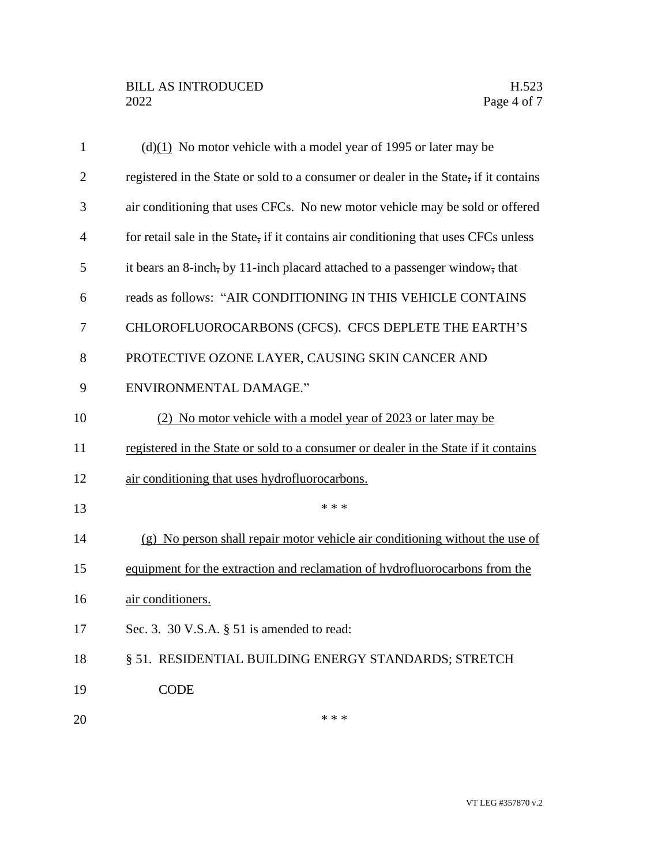| $\mathbf{1}$   | $(d)(1)$ No motor vehicle with a model year of 1995 or later may be                  |
|----------------|--------------------------------------------------------------------------------------|
| $\overline{2}$ | registered in the State or sold to a consumer or dealer in the State, if it contains |
| 3              | air conditioning that uses CFCs. No new motor vehicle may be sold or offered         |
| 4              | for retail sale in the State, if it contains air conditioning that uses CFCs unless  |
| 5              | it bears an 8-inch, by 11-inch placard attached to a passenger window, that          |
| 6              | reads as follows: "AIR CONDITIONING IN THIS VEHICLE CONTAINS                         |
| 7              | CHLOROFLUOROCARBONS (CFCS). CFCS DEPLETE THE EARTH'S                                 |
| 8              | PROTECTIVE OZONE LAYER, CAUSING SKIN CANCER AND                                      |
| 9              | <b>ENVIRONMENTAL DAMAGE."</b>                                                        |
| 10             | (2) No motor vehicle with a model year of 2023 or later may be                       |
| 11             | registered in the State or sold to a consumer or dealer in the State if it contains  |
| 12             | air conditioning that uses hydrofluorocarbons.                                       |
| 13             | * * *                                                                                |
| 14             | (g) No person shall repair motor vehicle air conditioning without the use of         |
| 15             | equipment for the extraction and reclamation of hydrofluorocarbons from the          |
| 16             | air conditioners.                                                                    |
| 17             | Sec. 3. 30 V.S.A. § 51 is amended to read:                                           |
| 18             | § 51. RESIDENTIAL BUILDING ENERGY STANDARDS; STRETCH                                 |
| 19             | <b>CODE</b>                                                                          |
| 20             | * * *                                                                                |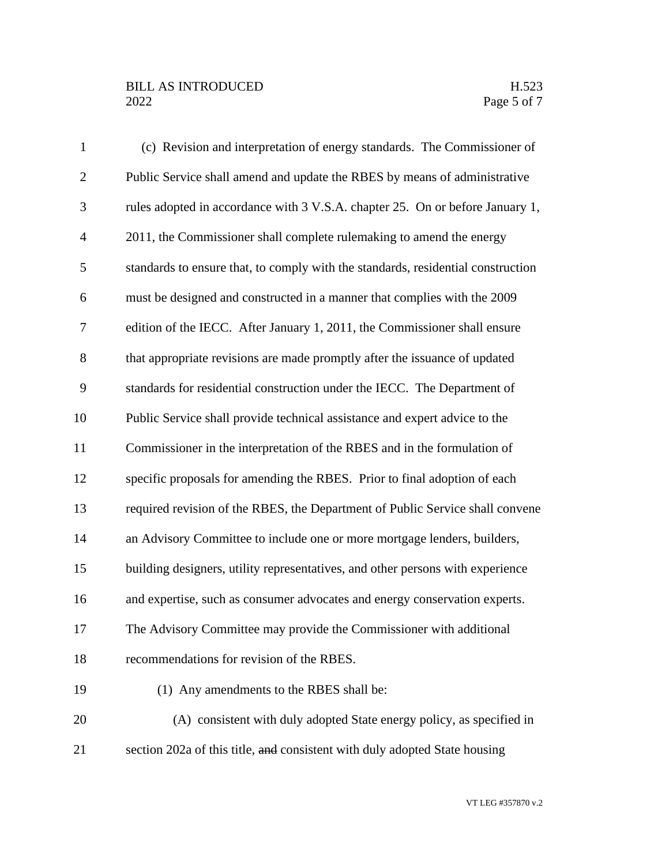## BILL AS INTRODUCED H.523<br>2022 Page 5 of 7

| $\mathbf{1}$   | (c) Revision and interpretation of energy standards. The Commissioner of         |
|----------------|----------------------------------------------------------------------------------|
| $\overline{2}$ | Public Service shall amend and update the RBES by means of administrative        |
| 3              | rules adopted in accordance with 3 V.S.A. chapter 25. On or before January 1,    |
| $\overline{4}$ | 2011, the Commissioner shall complete rulemaking to amend the energy             |
| 5              | standards to ensure that, to comply with the standards, residential construction |
| 6              | must be designed and constructed in a manner that complies with the 2009         |
| $\tau$         | edition of the IECC. After January 1, 2011, the Commissioner shall ensure        |
| $8\,$          | that appropriate revisions are made promptly after the issuance of updated       |
| 9              | standards for residential construction under the IECC. The Department of         |
| 10             | Public Service shall provide technical assistance and expert advice to the       |
| 11             | Commissioner in the interpretation of the RBES and in the formulation of         |
| 12             | specific proposals for amending the RBES. Prior to final adoption of each        |
| 13             | required revision of the RBES, the Department of Public Service shall convene    |
| 14             | an Advisory Committee to include one or more mortgage lenders, builders,         |
| 15             | building designers, utility representatives, and other persons with experience   |
| 16             | and expertise, such as consumer advocates and energy conservation experts.       |
| 17             | The Advisory Committee may provide the Commissioner with additional              |
| 18             | recommendations for revision of the RBES.                                        |
| 19             | (1) Any amendments to the RBES shall be:                                         |
| 20             | (A) consistent with duly adopted State energy policy, as specified in            |
| 21             | section 202a of this title, and consistent with duly adopted State housing       |

VT LEG #357870 v.2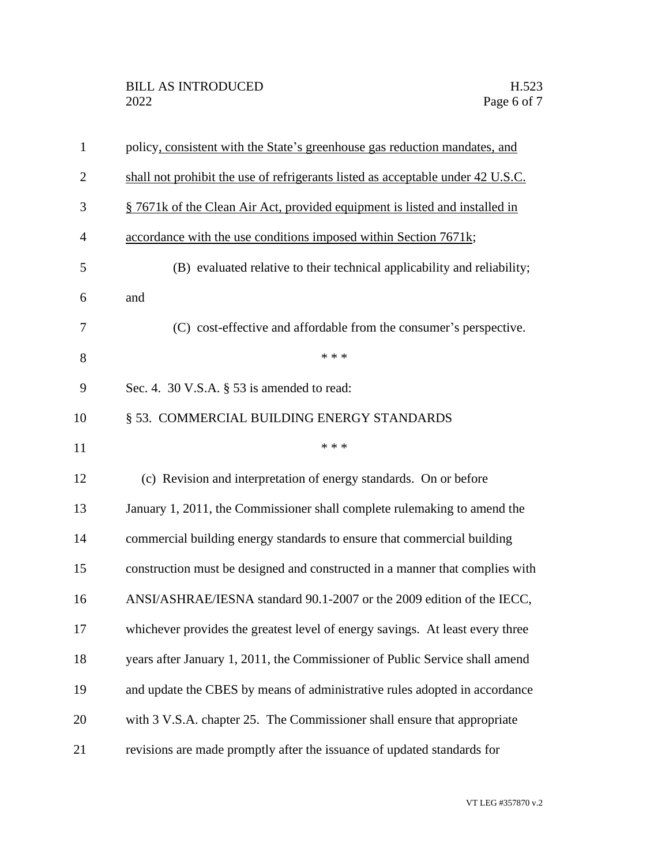| $\mathbf{1}$   | policy, consistent with the State's greenhouse gas reduction mandates, and      |
|----------------|---------------------------------------------------------------------------------|
| $\overline{2}$ | shall not prohibit the use of refrigerants listed as acceptable under 42 U.S.C. |
| 3              | § 7671k of the Clean Air Act, provided equipment is listed and installed in     |
| $\overline{4}$ | accordance with the use conditions imposed within Section 7671k;                |
| 5              | (B) evaluated relative to their technical applicability and reliability;        |
| 6              | and                                                                             |
| 7              | (C) cost-effective and affordable from the consumer's perspective.              |
| 8              | * * *                                                                           |
| 9              | Sec. 4. 30 V.S.A. § 53 is amended to read:                                      |
| 10             | § 53. COMMERCIAL BUILDING ENERGY STANDARDS                                      |
| 11             | * * *                                                                           |
| 12             | (c) Revision and interpretation of energy standards. On or before               |
| 13             | January 1, 2011, the Commissioner shall complete rulemaking to amend the        |
| 14             | commercial building energy standards to ensure that commercial building         |
| 15             | construction must be designed and constructed in a manner that complies with    |
| 16             | ANSI/ASHRAE/IESNA standard 90.1-2007 or the 2009 edition of the IECC,           |
| 17             | whichever provides the greatest level of energy savings. At least every three   |
| 18             | years after January 1, 2011, the Commissioner of Public Service shall amend     |
| 19             | and update the CBES by means of administrative rules adopted in accordance      |
| 20             | with 3 V.S.A. chapter 25. The Commissioner shall ensure that appropriate        |
| 21             | revisions are made promptly after the issuance of updated standards for         |